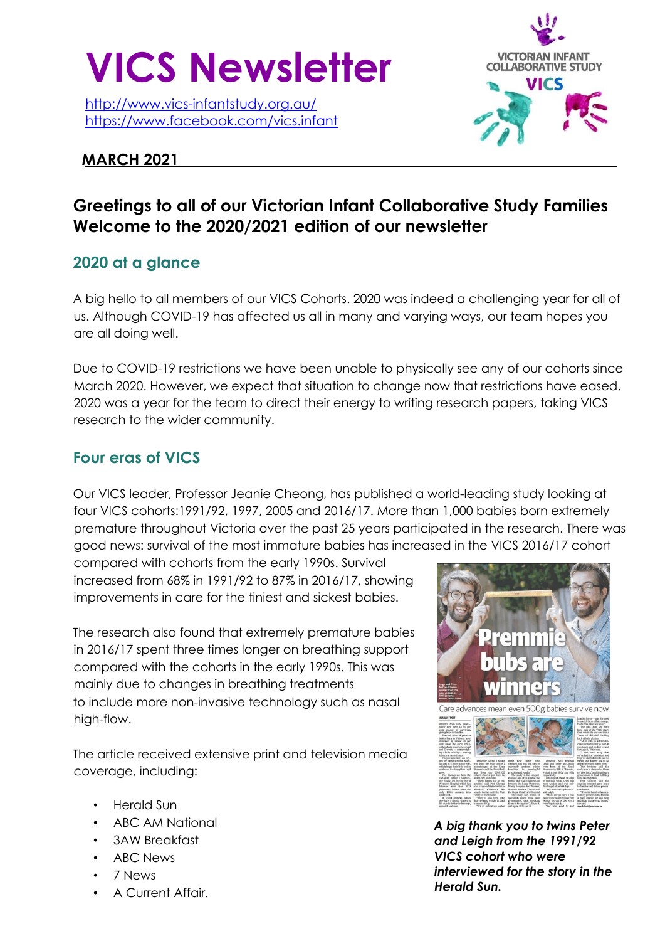

http://www.vics-infantstudy.org.au/ https://www.facebook.com/vics.infant

### **MARCH 2021**

# **VICTORIAN INFANT COLLABORATIVE STUDY VICS**

# **Greetings to all of our Victorian Infant Collaborative Study Families Welcome to the 2020/2021 edition of our newsletter**

## **2020 at a glance**

A big hello to all members of our VICS Cohorts. 2020 was indeed a challenging year for all of us. Although COVID-19 has affected us all in many and varying ways, our team hopes you are all doing well.

Due to COVID-19 restrictions we have been unable to physically see any of our cohorts since March 2020. However, we expect that situation to change now that restrictions have eased. 2020 was a year for the team to direct their energy to writing research papers, taking VICS research to the wider community.

## **Four eras of VICS**

Our VICS leader, Professor Jeanie Cheong, has published a world-leading study looking at four VICS cohorts:1991/92, 1997, 2005 and 2016/17. More than 1,000 babies born extremely premature throughout Victoria over the past 25 years participated in the research. There was good news: survival of the most immature babies has increased in the VICS 2016/17 cohort

compared with cohorts from the early 1990s. Survival increased from 68% in 1991/92 to 87% in 2016/17, showing improvements in care for the tiniest and sickest babies.

The research also found that extremely premature babies in 2016/17 spent three times longer on breathing support compared with the cohorts in the early 1990s. This was mainly due to changes in breathing treatments to include more non-invasive technology such as nasal high-flow.

The article received extensive print and television media coverage, including:

- Herald Sun
- ABC AM National
- 3AW Breakfast
- ABC News
- 7 News
- A Current Affair.



*A big thank you to twins Peter and Leigh from the 1991/92 VICS cohort who were interviewed for the story in the Herald Sun.*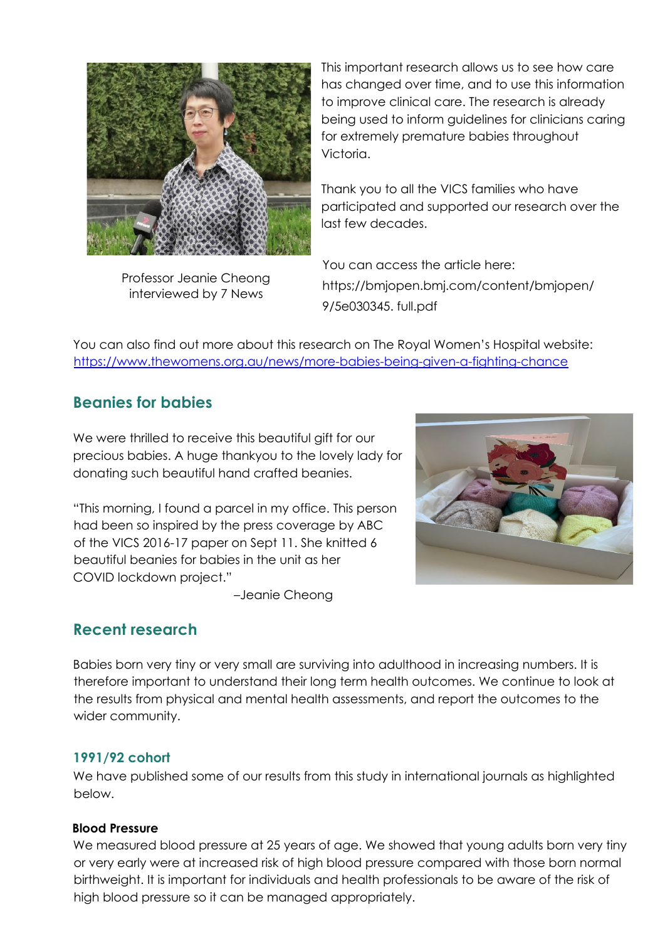

This important research allows us to see how care has changed over time, and to use this information to improve clinical care. The research is already being used to inform guidelines for clinicians caring for extremely premature babies throughout Victoria.

Thank you to all the VICS families who have participated and supported our research over the last few decades.

Professor Jeanie Cheong interviewed by 7 News

 You can access the article here: https;//bmjopen.bmj.com/content/bmjopen/ 9/5e030345. full.pdf

You can also find out more about this research on The Royal Women's Hospital website: https://www.thewomens.org.au/news/more-babies-being-given-a-fighting-chance

## **Beanies for babies**

We were thrilled to receive this beautiful gift for our precious babies. A huge thankyou to the lovely lady for donating such beautiful hand crafted beanies.

"This morning, I found a parcel in my office. This person had been so inspired by the press coverage by ABC of the VICS 2016-17 paper on Sept 11. She knitted 6 beautiful beanies for babies in the unit as her COVID lockdown project."

–Jeanie Cheong

## **Recent research**

Babies born very tiny or very small are surviving into adulthood in increasing numbers. It is therefore important to understand their long term health outcomes. We continue to look at the results from physical and mental health assessments, and report the outcomes to the wider community.

#### **1991/92 cohort**

We have published some of our results from this study in international journals as highlighted below.

#### **Blood Pressure**

We measured blood pressure at 25 years of age. We showed that young adults born very tiny or very early were at increased risk of high blood pressure compared with those born normal birthweight. It is important for individuals and health professionals to be aware of the risk of high blood pressure so it can be managed appropriately.

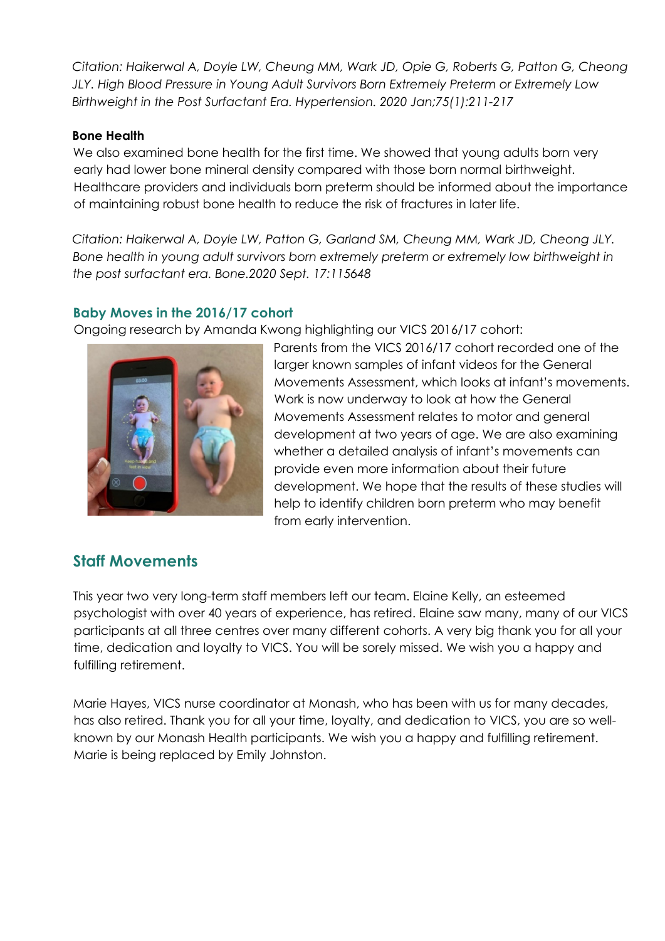*Citation: Haikerwal A, Doyle LW, Cheung MM, Wark JD, Opie G, Roberts G, Patton G, Cheong JLY. High Blood Pressure in Young Adult Survivors Born Extremely Preterm or Extremely Low Birthweight in the Post Surfactant Era. Hypertension. 2020 Jan;75(1):211-217* 

#### **Bone Health**

We also examined bone health for the first time. We showed that young adults born very early had lower bone mineral density compared with those born normal birthweight. Healthcare providers and individuals born preterm should be informed about the importance of maintaining robust bone health to reduce the risk of fractures in later life.

*Citation: Haikerwal A, Doyle LW, Patton G, Garland SM, Cheung MM, Wark JD, Cheong JLY.*  Bone health in young adult survivors born extremely preterm or extremely low birthweight in *the post surfactant era. Bone.2020 Sept. 17:115648* 

#### **Baby Moves in the 2016/17 cohort**

Ongoing research by Amanda Kwong highlighting our VICS 2016/17 cohort:



Parents from the VICS 2016/17 cohort recorded one of the larger known samples of infant videos for the General Movements Assessment, which looks at infant's movements. Work is now underway to look at how the General Movements Assessment relates to motor and general development at two years of age. We are also examining whether a detailed analysis of infant's movements can provide even more information about their future development. We hope that the results of these studies will help to identify children born preterm who may benefit from early intervention.

## **Staff Movements**

This year two very long-term staff members left our team. Elaine Kelly, an esteemed psychologist with over 40 years of experience, has retired. Elaine saw many, many of our VICS participants at all three centres over many different cohorts. A very big thank you for all your time, dedication and loyalty to VICS. You will be sorely missed. We wish you a happy and fulfilling retirement.

Marie Hayes, VICS nurse coordinator at Monash, who has been with us for many decades, has also retired. Thank you for all your time, loyalty, and dedication to VICS, you are so wellknown by our Monash Health participants. We wish you a happy and fulfilling retirement. Marie is being replaced by Emily Johnston.